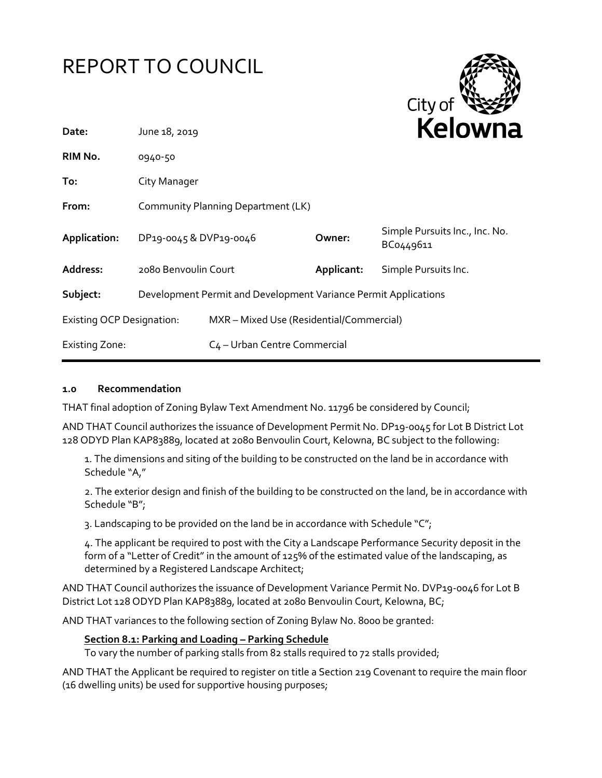# REPORT TO COUNCIL



| Date:                            | June 18, 2019                                                   |                                          |            | REIUWHE                                     |  |
|----------------------------------|-----------------------------------------------------------------|------------------------------------------|------------|---------------------------------------------|--|
| RIM No.                          | 0940-50                                                         |                                          |            |                                             |  |
| To:                              | City Manager                                                    |                                          |            |                                             |  |
| From:                            | Community Planning Department (LK)                              |                                          |            |                                             |  |
| Application:                     | DP19-0045 & DVP19-0046                                          |                                          | Owner:     | Simple Pursuits Inc., Inc. No.<br>BC0449611 |  |
| Address:                         | 2080 Benvoulin Court                                            |                                          | Applicant: | Simple Pursuits Inc.                        |  |
| Subject:                         | Development Permit and Development Variance Permit Applications |                                          |            |                                             |  |
| <b>Existing OCP Designation:</b> |                                                                 | MXR - Mixed Use (Residential/Commercial) |            |                                             |  |
| Existing Zone:                   |                                                                 | C <sub>4</sub> - Urban Centre Commercial |            |                                             |  |
|                                  |                                                                 |                                          |            |                                             |  |

#### **1.0 Recommendation**

THAT final adoption of Zoning Bylaw Text Amendment No. 11796 be considered by Council;

AND THAT Council authorizes the issuance of Development Permit No. DP19-0045 for Lot B District Lot 128 ODYD Plan KAP83889, located at 2080 Benvoulin Court, Kelowna, BC subject to the following:

1. The dimensions and siting of the building to be constructed on the land be in accordance with Schedule "A,"

2. The exterior design and finish of the building to be constructed on the land, be in accordance with Schedule "B";

3. Landscaping to be provided on the land be in accordance with Schedule " $C$ ";

4. The applicant be required to post with the City a Landscape Performance Security deposit in the form of a "Letter of Credit" in the amount of 125% of the estimated value of the landscaping, as determined by a Registered Landscape Architect;

AND THAT Council authorizes the issuance of Development Variance Permit No. DVP19-0046 for Lot B District Lot 128 ODYD Plan KAP83889, located at 2080 Benvoulin Court, Kelowna, BC;

AND THAT variances to the following section of Zoning Bylaw No. 8000 be granted:

# **Section 8.1: Parking and Loading – Parking Schedule**

To vary the number of parking stalls from 82 stalls required to 72 stalls provided;

AND THAT the Applicant be required to register on title a Section 219 Covenant to require the main floor (16 dwelling units) be used for supportive housing purposes;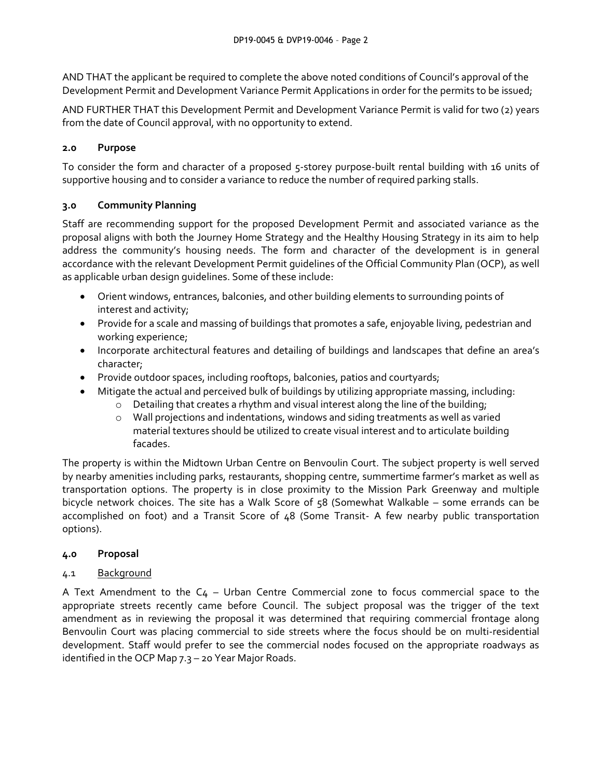AND THAT the applicant be required to complete the above noted conditions of Council's approval of the Development Permit and Development Variance Permit Applications in order for the permits to be issued;

AND FURTHER THAT this Development Permit and Development Variance Permit is valid for two (2) years from the date of Council approval, with no opportunity to extend.

# **2.0 Purpose**

To consider the form and character of a proposed 5-storey purpose-built rental building with 16 units of supportive housing and to consider a variance to reduce the number of required parking stalls.

# **3.0 Community Planning**

Staff are recommending support for the proposed Development Permit and associated variance as the proposal aligns with both the Journey Home Strategy and the Healthy Housing Strategy in its aim to help address the community's housing needs. The form and character of the development is in general accordance with the relevant Development Permit guidelines of the Official Community Plan (OCP), as well as applicable urban design guidelines. Some of these include:

- Orient windows, entrances, balconies, and other building elements to surrounding points of interest and activity;
- Provide for a scale and massing of buildings that promotes a safe, enjoyable living, pedestrian and working experience;
- Incorporate architectural features and detailing of buildings and landscapes that define an area's character;
- Provide outdoor spaces, including rooftops, balconies, patios and courtyards;
- Mitigate the actual and perceived bulk of buildings by utilizing appropriate massing, including:
	- o Detailing that creates a rhythm and visual interest along the line of the building;
	- $\circ$  Wall projections and indentations, windows and siding treatments as well as varied material textures should be utilized to create visual interest and to articulate building facades.

The property is within the Midtown Urban Centre on Benvoulin Court. The subject property is well served by nearby amenities including parks, restaurants, shopping centre, summertime farmer's market as well as transportation options. The property is in close proximity to the Mission Park Greenway and multiple bicycle network choices. The site has a Walk Score of 58 (Somewhat Walkable – some errands can be accomplished on foot) and a Transit Score of 48 (Some Transit- A few nearby public transportation options).

# **4.0 Proposal**

# 4.1 Background

A Text Amendment to the  $C_4$  – Urban Centre Commercial zone to focus commercial space to the appropriate streets recently came before Council. The subject proposal was the trigger of the text amendment as in reviewing the proposal it was determined that requiring commercial frontage along Benvoulin Court was placing commercial to side streets where the focus should be on multi-residential development. Staff would prefer to see the commercial nodes focused on the appropriate roadways as identified in the OCP Map 7.3 – 20 Year Major Roads.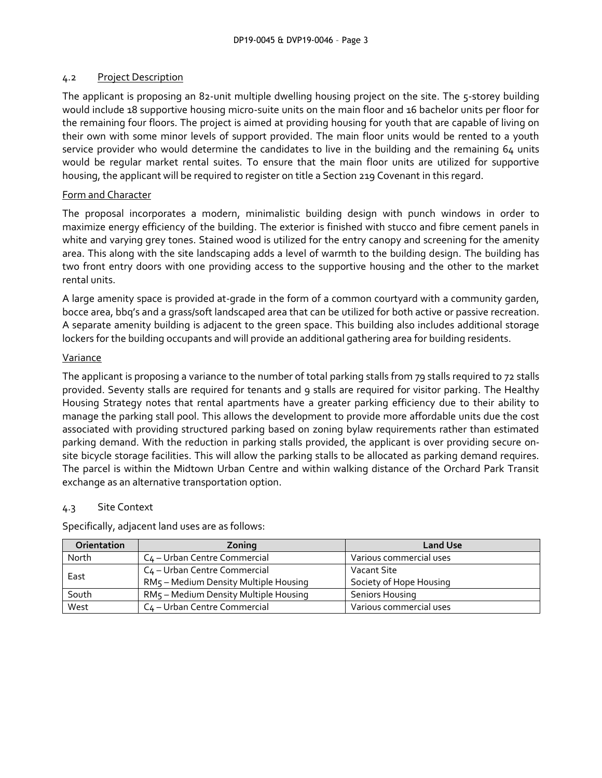# 4.2 Project Description

The applicant is proposing an 82-unit multiple dwelling housing project on the site. The 5-storey building would include 18 supportive housing micro-suite units on the main floor and 16 bachelor units per floor for the remaining four floors. The project is aimed at providing housing for youth that are capable of living on their own with some minor levels of support provided. The main floor units would be rented to a youth service provider who would determine the candidates to live in the building and the remaining 64 units would be regular market rental suites. To ensure that the main floor units are utilized for supportive housing, the applicant will be required to register on title a Section 219 Covenant in this regard.

#### Form and Character

The proposal incorporates a modern, minimalistic building design with punch windows in order to maximize energy efficiency of the building. The exterior is finished with stucco and fibre cement panels in white and varying grey tones. Stained wood is utilized for the entry canopy and screening for the amenity area. This along with the site landscaping adds a level of warmth to the building design. The building has two front entry doors with one providing access to the supportive housing and the other to the market rental units.

A large amenity space is provided at-grade in the form of a common courtyard with a community garden, bocce area, bbq's and a grass/soft landscaped area that can be utilized for both active or passive recreation. A separate amenity building is adjacent to the green space. This building also includes additional storage lockers for the building occupants and will provide an additional gathering area for building residents.

#### Variance

The applicant is proposing a variance to the number of total parking stalls from 79 stalls required to 72 stalls provided. Seventy stalls are required for tenants and 9 stalls are required for visitor parking. The Healthy Housing Strategy notes that rental apartments have a greater parking efficiency due to their ability to manage the parking stall pool. This allows the development to provide more affordable units due the cost associated with providing structured parking based on zoning bylaw requirements rather than estimated parking demand. With the reduction in parking stalls provided, the applicant is over providing secure onsite bicycle storage facilities. This will allow the parking stalls to be allocated as parking demand requires. The parcel is within the Midtown Urban Centre and within walking distance of the Orchard Park Transit exchange as an alternative transportation option.

# 4.3 Site Context

Specifically, adjacent land uses are as follows:

| <b>Orientation</b> | Zoning                                   | <b>Land Use</b>         |
|--------------------|------------------------------------------|-------------------------|
| North              | C <sub>4</sub> – Urban Centre Commercial | Various commercial uses |
| East               | C <sub>4</sub> - Urban Centre Commercial | Vacant Site             |
|                    | RM5 - Medium Density Multiple Housing    | Society of Hope Housing |
| South              | RM5 - Medium Density Multiple Housing    | <b>Seniors Housing</b>  |
| West               | C <sub>4</sub> – Urban Centre Commercial | Various commercial uses |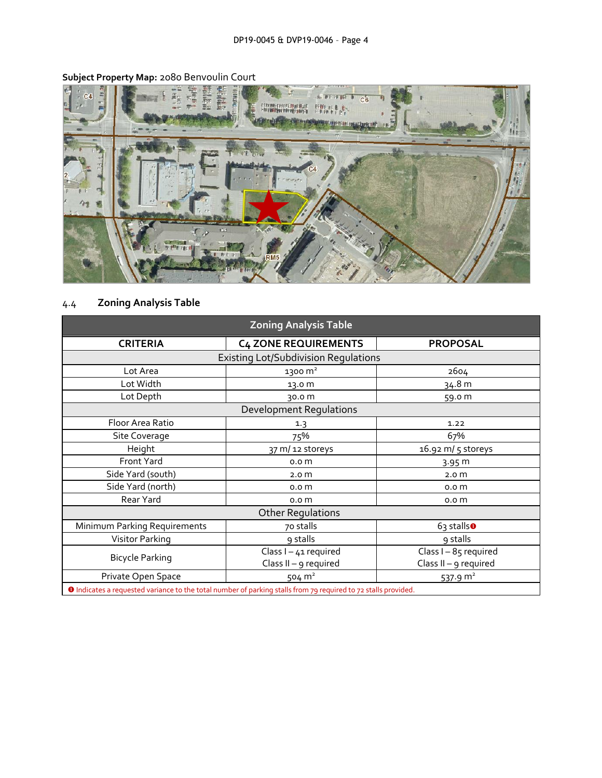

# **Subject Property Map:** 2080 Benvoulin Court

# 4.4 **Zoning Analysis Table**

| <b>Zoning Analysis Table</b>                                                                                   |                             |                         |  |  |  |
|----------------------------------------------------------------------------------------------------------------|-----------------------------|-------------------------|--|--|--|
| <b>CRITERIA</b>                                                                                                | <b>C4 ZONE REQUIREMENTS</b> | <b>PROPOSAL</b>         |  |  |  |
| <b>Existing Lot/Subdivision Regulations</b>                                                                    |                             |                         |  |  |  |
| Lot Area                                                                                                       | 1300 m <sup>2</sup>         | 2604                    |  |  |  |
| Lot Width                                                                                                      | 13.0 m                      | 34.8 m                  |  |  |  |
| Lot Depth                                                                                                      | 30.0 m                      | 59.0 m                  |  |  |  |
| Development Regulations                                                                                        |                             |                         |  |  |  |
| Floor Area Ratio                                                                                               | 1.3                         | 1.22                    |  |  |  |
| Site Coverage                                                                                                  | 75%                         | 67%                     |  |  |  |
| Height                                                                                                         | 37 m/ 12 storeys            | 16.92 m/ 5 storeys      |  |  |  |
| Front Yard                                                                                                     | 0.0 <sub>m</sub>            | 3.95 m                  |  |  |  |
| Side Yard (south)                                                                                              | 2.0 <sub>m</sub>            | 2.0 <sub>m</sub>        |  |  |  |
| Side Yard (north)                                                                                              | 0.0 <sub>m</sub>            | 0.0 <sub>m</sub>        |  |  |  |
| Rear Yard                                                                                                      | 0.0 <sub>m</sub>            | 0.0 <sub>m</sub>        |  |  |  |
| <b>Other Regulations</b>                                                                                       |                             |                         |  |  |  |
| Minimum Parking Requirements                                                                                   | 70 stalls                   | $63$ stalls $\bullet$   |  |  |  |
| Visitor Parking                                                                                                | 9 stalls                    | 9 stalls                |  |  |  |
| <b>Bicycle Parking</b>                                                                                         | Class $I - 41$ required     | Class I-85 required     |  |  |  |
|                                                                                                                | Class II - $g$ required     | Class $II - g$ required |  |  |  |
| Private Open Space                                                                                             | 504 $m2$                    | 537.9 $m2$              |  |  |  |
| O Indicates a requested variance to the total number of parking stalls from 79 required to 72 stalls provided. |                             |                         |  |  |  |